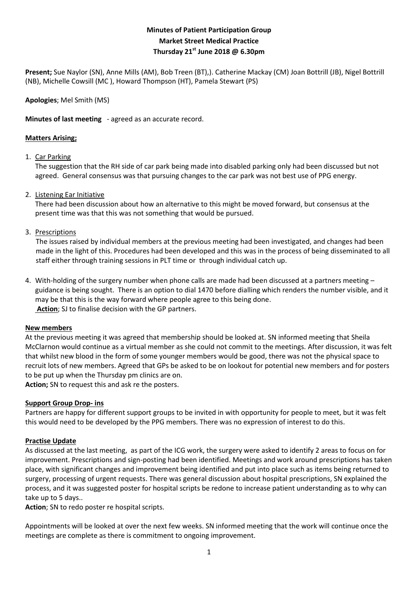# **Minutes of Patient Participation Group Market Street Medical Practice Thursday 21st June 2018 @ 6.30pm**

**Present;** Sue Naylor (SN), Anne Mills (AM), Bob Treen (BT),). Catherine Mackay (CM) Joan Bottrill (JB), Nigel Bottrill (NB), Michelle Cowsill (MC ), Howard Thompson (HT), Pamela Stewart (PS)

**Apologies**; Mel Smith (MS)

**Minutes of last meeting** - agreed as an accurate record.

## **Matters Arising;**

#### 1. Car Parking

The suggestion that the RH side of car park being made into disabled parking only had been discussed but not agreed. General consensus was that pursuing changes to the car park was not best use of PPG energy.

## 2. Listening Ear Initiative

There had been discussion about how an alternative to this might be moved forward, but consensus at the present time was that this was not something that would be pursued.

## 3. Prescriptions

 The issues raised by individual members at the previous meeting had been investigated, and changes had been made in the light of this. Procedures had been developed and this was in the process of being disseminated to all staff either through training sessions in PLT time or through individual catch up.

4. With-holding of the surgery number when phone calls are made had been discussed at a partners meeting – guidance is being sought. There is an option to dial 1470 before dialling which renders the number visible, and it may be that this is the way forward where people agree to this being done. **Action**; SJ to finalise decision with the GP partners.

#### **New members**

At the previous meeting it was agreed that membership should be looked at. SN informed meeting that Sheila McClarnon would continue as a virtual member as she could not commit to the meetings. After discussion, it was felt that whilst new blood in the form of some younger members would be good, there was not the physical space to recruit lots of new members. Agreed that GPs be asked to be on lookout for potential new members and for posters to be put up when the Thursday pm clinics are on.

**Action;** SN to request this and ask re the posters.

#### **Support Group Drop- ins**

Partners are happy for different support groups to be invited in with opportunity for people to meet, but it was felt this would need to be developed by the PPG members. There was no expression of interest to do this.

# **Practise Update**

As discussed at the last meeting, as part of the ICG work, the surgery were asked to identify 2 areas to focus on for improvement. Prescriptions and sign-posting had been identified. Meetings and work around prescriptions has taken place, with significant changes and improvement being identified and put into place such as items being returned to surgery, processing of urgent requests. There was general discussion about hospital prescriptions, SN explained the process, and it was suggested poster for hospital scripts be redone to increase patient understanding as to why can take up to 5 days..

**Action**; SN to redo poster re hospital scripts.

Appointments will be looked at over the next few weeks. SN informed meeting that the work will continue once the meetings are complete as there is commitment to ongoing improvement.